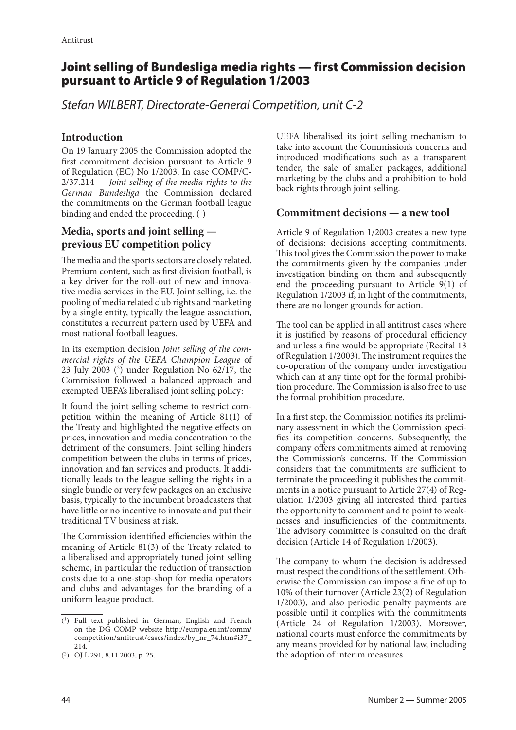# Joint selling of Bundesliga media rights — first Commission decision pursuant to Article 9 of Regulation 1/2003

*Stefan WILBERT, Directorate-General Competition, unit C-2*

#### **Introduction**

On 19 January 2005 the Commission adopted the first commitment decision pursuant to Article 9 of Regulation (EC) No 1/2003. In case COMP/C-2/37.214 — *Joint selling of the media rights to the German Bundesliga* the Commission declared the commitments on the German football league binding and ended the proceeding. (1)

# **Media, sports and joint selling previous EU competition policy**

The media and the sports sectors are closely related. Premium content, such as first division football, is a key driver for the roll-out of new and innovative media services in the EU. Joint selling, i.e. the pooling of media related club rights and marketing by a single entity, typically the league association, constitutes a recurrent pattern used by UEFA and most national football leagues.

In its exemption decision *Joint selling of the commercial rights of the UEFA Champion League* of 23 July 2003 (2 ) under Regulation No 62/17, the Commission followed a balanced approach and exempted UEFA's liberalised joint selling policy:

It found the joint selling scheme to restrict competition within the meaning of Article 81(1) of the Treaty and highlighted the negative effects on prices, innovation and media concentration to the detriment of the consumers. Joint selling hinders competition between the clubs in terms of prices, innovation and fan services and products. It additionally leads to the league selling the rights in a single bundle or very few packages on an exclusive basis, typically to the incumbent broadcasters that have little or no incentive to innovate and put their traditional TV business at risk.

The Commission identified efficiencies within the meaning of Article 81(3) of the Treaty related to a liberalised and appropriately tuned joint selling scheme, in particular the reduction of transaction costs due to a one-stop-shop for media operators and clubs and advantages for the branding of a uniform league product.

UEFA liberalised its joint selling mechanism to take into account the Commission's concerns and introduced modifications such as a transparent tender, the sale of smaller packages, additional marketing by the clubs and a prohibition to hold back rights through joint selling.

# **Commitment decisions — a new tool**

Article 9 of Regulation 1/2003 creates a new type of decisions: decisions accepting commitments. This tool gives the Commission the power to make the commitments given by the companies under investigation binding on them and subsequently end the proceeding pursuant to Article 9(1) of Regulation 1/2003 if, in light of the commitments, there are no longer grounds for action.

The tool can be applied in all antitrust cases where it is justified by reasons of procedural efficiency and unless a fine would be appropriate (Recital 13 of Regulation 1/2003). The instrument requires the co-operation of the company under investigation which can at any time opt for the formal prohibition procedure. The Commission is also free to use the formal prohibition procedure.

In a first step, the Commission notifies its preliminary assessment in which the Commission specifies its competition concerns. Subsequently, the company offers commitments aimed at removing the Commission's concerns. If the Commission considers that the commitments are sufficient to terminate the proceeding it publishes the commitments in a notice pursuant to Article 27(4) of Regulation 1/2003 giving all interested third parties the opportunity to comment and to point to weaknesses and insufficiencies of the commitments. The advisory committee is consulted on the draft decision (Article 14 of Regulation 1/2003).

The company to whom the decision is addressed must respect the conditions of the settlement. Otherwise the Commission can impose a fine of up to 10% of their turnover (Article 23(2) of Regulation 1/2003), and also periodic penalty payments are possible until it complies with the commitments (Article 24 of Regulation 1/2003). Moreover, national courts must enforce the commitments by any means provided for by national law, including the adoption of interim measures.

<sup>(1)</sup> Full text published in German, English and French on the DG COMP website http://europa.eu.int/comm/ competition/antitrust/cases/index/by\_nr\_74.htm#i37\_ 214.

<sup>(2)</sup> OJ L 291, 8.11.2003, p. 25.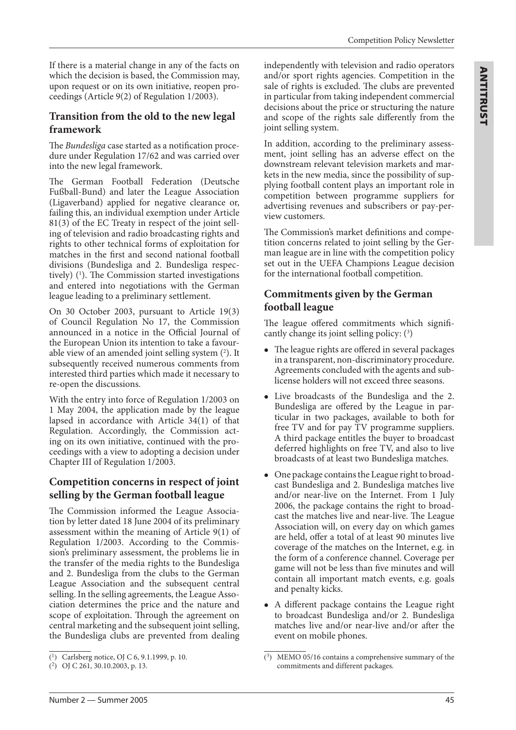If there is a material change in any of the facts on which the decision is based, the Commission may, upon request or on its own initiative, reopen proceedings (Article 9(2) of Regulation 1/2003).

#### **Transition from the old to the new legal framework**

The *Bundesliga* case started as a notification procedure under Regulation 17/62 and was carried over into the new legal framework.

The German Football Federation (Deutsche Fußball-Bund) and later the League Association (Ligaverband) applied for negative clearance or, failing this, an individual exemption under Article 81(3) of the EC Treaty in respect of the joint selling of television and radio broadcasting rights and rights to other technical forms of exploitation for matches in the first and second national football divisions (Bundesliga and 2. Bundesliga respectively) (1 ). The Commission started investigations and entered into negotiations with the German league leading to a preliminary settlement.

On 30 October 2003, pursuant to Article 19(3) of Council Regulation No 17, the Commission announced in a notice in the Official Journal of the European Union its intention to take a favourable view of an amended joint selling system  $(^2)$ . It subsequently received numerous comments from interested third parties which made it necessary to re-open the discussions.

With the entry into force of Regulation 1/2003 on 1 May 2004, the application made by the league lapsed in accordance with Article 34(1) of that Regulation. Accordingly, the Commission acting on its own initiative, continued with the proceedings with a view to adopting a decision under Chapter III of Regulation 1/2003.

# **Competition concerns in respect of joint selling by the German football league**

The Commission informed the League Association by letter dated 18 June 2004 of its preliminary assessment within the meaning of Article 9(1) of Regulation 1/2003. According to the Commission's preliminary assessment, the problems lie in the transfer of the media rights to the Bundesliga and 2. Bundesliga from the clubs to the German League Association and the subsequent central selling. In the selling agreements, the League Association determines the price and the nature and scope of exploitation. Through the agreement on central marketing and the subsequent joint selling, the Bundesliga clubs are prevented from dealing independently with television and radio operators and/or sport rights agencies. Competition in the sale of rights is excluded. The clubs are prevented in particular from taking independent commercial decisions about the price or structuring the nature and scope of the rights sale differently from the joint selling system.

In addition, according to the preliminary assessment, joint selling has an adverse effect on the downstream relevant television markets and markets in the new media, since the possibility of supplying football content plays an important role in competition between programme suppliers for advertising revenues and subscribers or pay-perview customers.

The Commission's market definitions and competition concerns related to joint selling by the German league are in line with the competition policy set out in the UEFA Champions League decision for the international football competition.

# **Commitments given by the German football league**

The league offered commitments which significantly change its joint selling policy: (3)

- The league rights are offered in several packages in a transparent, non-discriminatory procedure. Agreements concluded with the agents and sublicense holders will not exceed three seasons.
- Live broadcasts of the Bundesliga and the 2. Bundesliga are offered by the League in particular in two packages, available to both for free TV and for pay TV programme suppliers. A third package entitles the buyer to broadcast deferred highlights on free TV, and also to live broadcasts of at least two Bundesliga matches.
- One package contains the League right to broadcast Bundesliga and 2. Bundesliga matches live and/or near-live on the Internet. From 1 July 2006, the package contains the right to broadcast the matches live and near-live. The League Association will, on every day on which games are held, offer a total of at least 90 minutes live coverage of the matches on the Internet, e.g. in the form of a conference channel. Coverage per game will not be less than five minutes and will contain all important match events, e.g. goals and penalty kicks.
- A different package contains the League right to broadcast Bundesliga and/or 2. Bundesliga matches live and/or near-live and/or after the event on mobile phones.

<sup>(1)</sup> Carlsberg notice, OJ C 6, 9.1.1999, p. 10.

<sup>(2)</sup> OJ C 261, 30.10.2003, p. 13.

<sup>(3)</sup> MEMO 05/16 contains a comprehensive summary of the commitments and different packages.